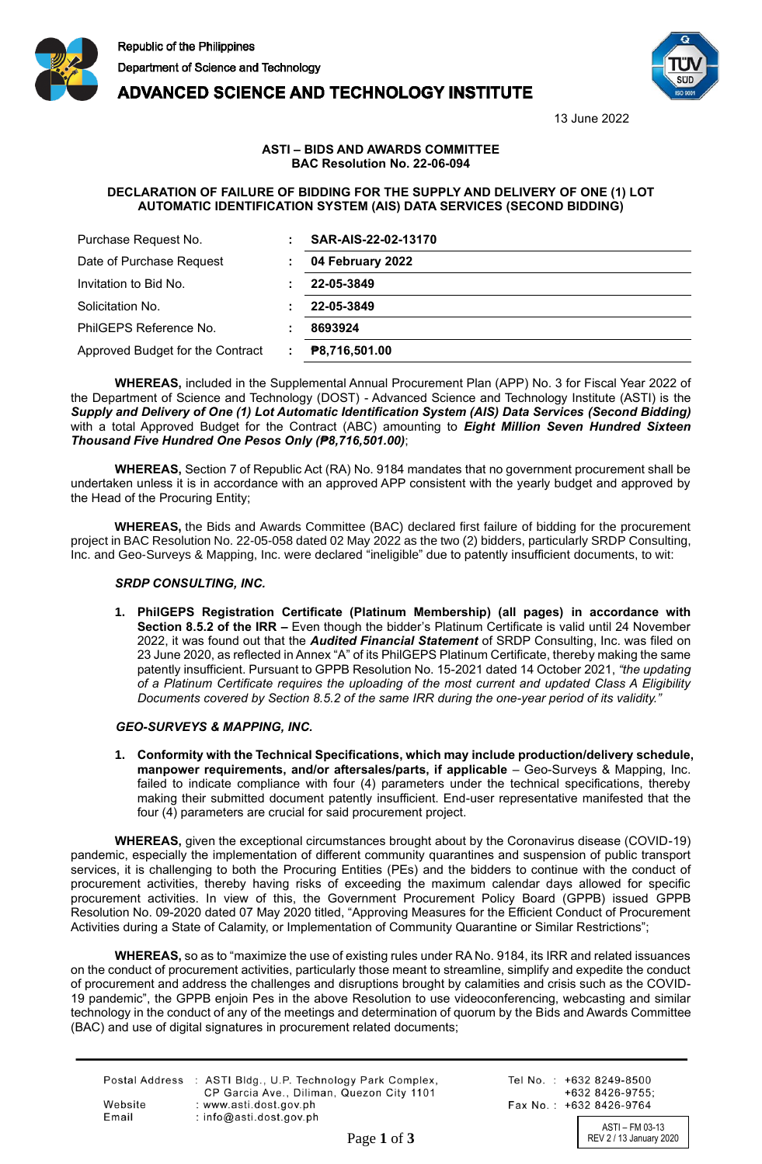





13 June 2022

## **ASTI – BIDS AND AWARDS COMMITTEE BAC Resolution No. 22-06-094**

## **DECLARATION OF FAILURE OF BIDDING FOR THE SUPPLY AND DELIVERY OF ONE (1) LOT AUTOMATIC IDENTIFICATION SYSTEM (AIS) DATA SERVICES (SECOND BIDDING)**

| Purchase Request No.             | SAR-AIS-22-02-13170 |
|----------------------------------|---------------------|
| Date of Purchase Request         | 04 February 2022    |
| Invitation to Bid No.            | 22-05-3849          |
| Solicitation No.                 | 22-05-3849          |
| PhilGEPS Reference No.           | 8693924             |
| Approved Budget for the Contract | P8,716,501.00       |

**WHEREAS,** included in the Supplemental Annual Procurement Plan (APP) No. 3 for Fiscal Year 2022 of the Department of Science and Technology (DOST) - Advanced Science and Technology Institute (ASTI) is the *Supply and Delivery of One (1) Lot Automatic Identification System (AIS) Data Services (Second Bidding)*  with a total Approved Budget for the Contract (ABC) amounting to *Eight Million Seven Hundred Sixteen Thousand Five Hundred One Pesos Only (₱8,716,501.00)*;

**WHEREAS,** Section 7 of Republic Act (RA) No. 9184 mandates that no government procurement shall be undertaken unless it is in accordance with an approved APP consistent with the yearly budget and approved by the Head of the Procuring Entity;

**WHEREAS,** the Bids and Awards Committee (BAC) declared first failure of bidding for the procurement project in BAC Resolution No. 22-05-058 dated 02 May 2022 as the two (2) bidders, particularly SRDP Consulting, Inc. and Geo-Surveys & Mapping, Inc. were declared "ineligible" due to patently insufficient documents, to wit:

# *SRDP CONSULTING, INC.*

**1. PhilGEPS Registration Certificate (Platinum Membership) (all pages) in accordance with Section 8.5.2 of the IRR –** Even though the bidder's Platinum Certificate is valid until 24 November 2022, it was found out that the *Audited Financial Statement* of SRDP Consulting, Inc. was filed on 23 June 2020, as reflected in Annex "A" of its PhilGEPS Platinum Certificate, thereby making the same patently insufficient. Pursuant to GPPB Resolution No. 15-2021 dated 14 October 2021, *"the updating of a Platinum Certificate requires the uploading of the most current and updated Class A Eligibility Documents covered by Section 8.5.2 of the same IRR during the one-year period of its validity."* 

### *GEO-SURVEYS & MAPPING, INC.*

**1. Conformity with the Technical Specifications, which may include production/delivery schedule, manpower requirements, and/or aftersales/parts, if applicable** – Geo-Surveys & Mapping, Inc. failed to indicate compliance with four (4) parameters under the technical specifications, thereby making their submitted document patently insufficient. End-user representative manifested that the four (4) parameters are crucial for said procurement project.

**WHEREAS,** given the exceptional circumstances brought about by the Coronavirus disease (COVID-19) pandemic, especially the implementation of different community quarantines and suspension of public transport services, it is challenging to both the Procuring Entities (PEs) and the bidders to continue with the conduct of procurement activities, thereby having risks of exceeding the maximum calendar days allowed for specific procurement activities. In view of this, the Government Procurement Policy Board (GPPB) issued GPPB Resolution No. 09-2020 dated 07 May 2020 titled, "Approving Measures for the Efficient Conduct of Procurement Activities during a State of Calamity, or Implementation of Community Quarantine or Similar Restrictions";

**WHEREAS,** so as to "maximize the use of existing rules under RA No. 9184, its IRR and related issuances on the conduct of procurement activities, particularly those meant to streamline, simplify and expedite the conduct of procurement and address the challenges and disruptions brought by calamities and crisis such as the COVID-19 pandemic", the GPPB enjoin Pes in the above Resolution to use videoconferencing, webcasting and similar technology in the conduct of any of the meetings and determination of quorum by the Bids and Awards Committee (BAC) and use of digital signatures in procurement related documents;

|         | Postal Address : ASTI Bldg., U.P. Technology Park Complex,<br>CP Garcia Ave., Diliman, Quezon City 1101 |
|---------|---------------------------------------------------------------------------------------------------------|
| Website | : www.asti.dost.gov.ph                                                                                  |
| Email   | : $info@asti.dost.gov.ph$                                                                               |

Tel No.: +632 8249-8500  $+6328426-9755$ Fax No.: +632 8426-9764

ASTI – FM 03-13 Page 1 of 3 REV 2 / 13 January 2020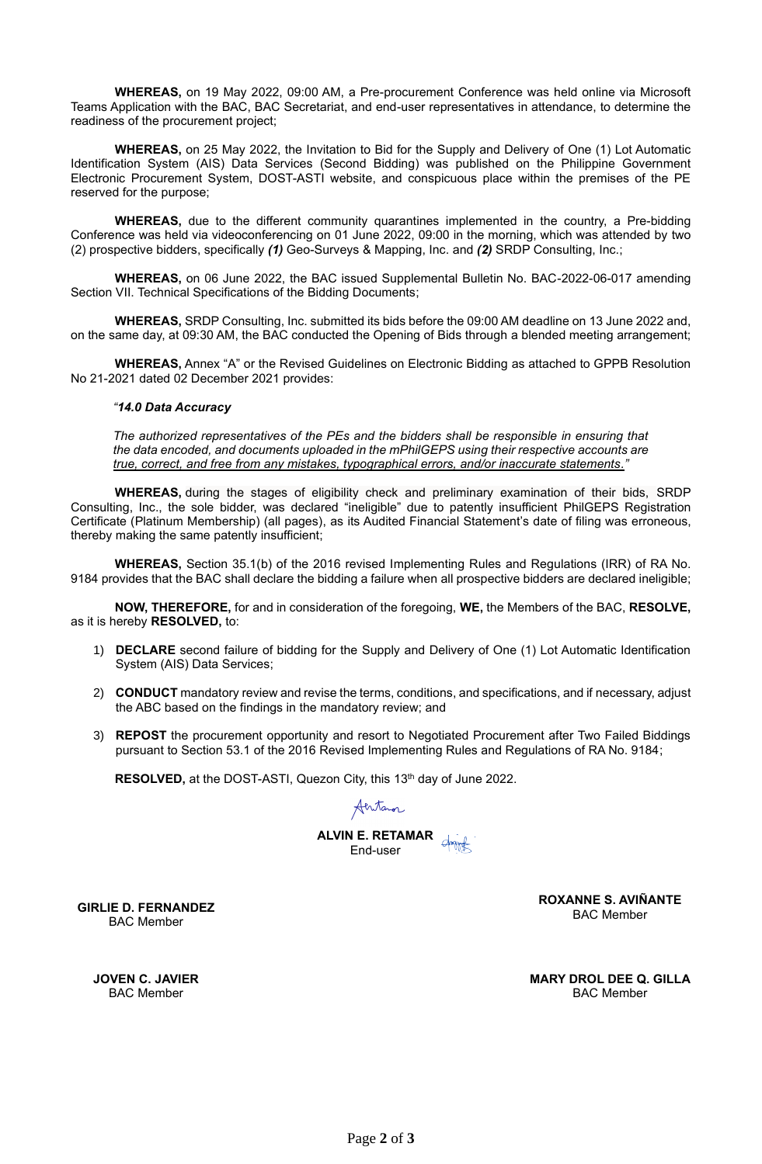**WHEREAS,** on 19 May 2022, 09:00 AM, a Pre-procurement Conference was held online via Microsoft Teams Application with the BAC, BAC Secretariat, and end-user representatives in attendance, to determine the readiness of the procurement project;

**WHEREAS,** on 25 May 2022, the Invitation to Bid for the Supply and Delivery of One (1) Lot Automatic Identification System (AIS) Data Services (Second Bidding) was published on the Philippine Government Electronic Procurement System, DOST-ASTI website, and conspicuous place within the premises of the PE reserved for the purpose;

**WHEREAS,** due to the different community quarantines implemented in the country, a Pre-bidding Conference was held via videoconferencing on 01 June 2022, 09:00 in the morning, which was attended by two (2) prospective bidders, specifically *(1)* Geo-Surveys & Mapping, Inc. and *(2)* SRDP Consulting, Inc.;

**WHEREAS,** on 06 June 2022, the BAC issued Supplemental Bulletin No. BAC-2022-06-017 amending Section VII. Technical Specifications of the Bidding Documents;

**WHEREAS,** SRDP Consulting, Inc. submitted its bids before the 09:00 AM deadline on 13 June 2022 and, on the same day, at 09:30 AM, the BAC conducted the Opening of Bids through a blended meeting arrangement;

**WHEREAS,** Annex "A" or the Revised Guidelines on Electronic Bidding as attached to GPPB Resolution No 21-2021 dated 02 December 2021 provides:

### *"14.0 Data Accuracy*

*The authorized representatives of the PEs and the bidders shall be responsible in ensuring that the data encoded, and documents uploaded in the mPhilGEPS using their respective accounts are true, correct, and free from any mistakes, typographical errors, and/or inaccurate statements."*

**WHEREAS,** during the stages of eligibility check and preliminary examination of their bids, SRDP Consulting, Inc., the sole bidder, was declared "ineligible" due to patently insufficient PhilGEPS Registration Certificate (Platinum Membership) (all pages), as its Audited Financial Statement's date of filing was erroneous, thereby making the same patently insufficient;

**WHEREAS,** Section 35.1(b) of the 2016 revised Implementing Rules and Regulations (IRR) of RA No. 9184 provides that the BAC shall declare the bidding a failure when all prospective bidders are declared ineligible;

**NOW, THEREFORE,** for and in consideration of the foregoing, **WE,** the Members of the BAC, **RESOLVE,**  as it is hereby **RESOLVED,** to:

- 1) **DECLARE** second failure of bidding for the Supply and Delivery of One (1) Lot Automatic Identification System (AIS) Data Services;
- 2) **CONDUCT** mandatory review and revise the terms, conditions, and specifications, and if necessary, adjust the ABC based on the findings in the mandatory review; and
- 3) **REPOST** the procurement opportunity and resort to Negotiated Procurement after Two Failed Biddings pursuant to Section 53.1 of the 2016 Revised Implementing Rules and Regulations of RA No. 9184;

**RESOLVED,** at the DOST-ASTI, Quezon City, this 13<sup>th</sup> day of June 2022.

Aentanor

**ALVIN E. RETAMAR** End-user

**ROXANNE S. AVIÑANTE** Roxanne SagunDigitally signed K& aniña to by Aviñante

BAC Member

**GIRLIE D. FERNANDEZ** BAC Member

> **JOVEN C. JAVIER** BAC Member

**MARY DROL DEE Q. GILLA** BAC Member